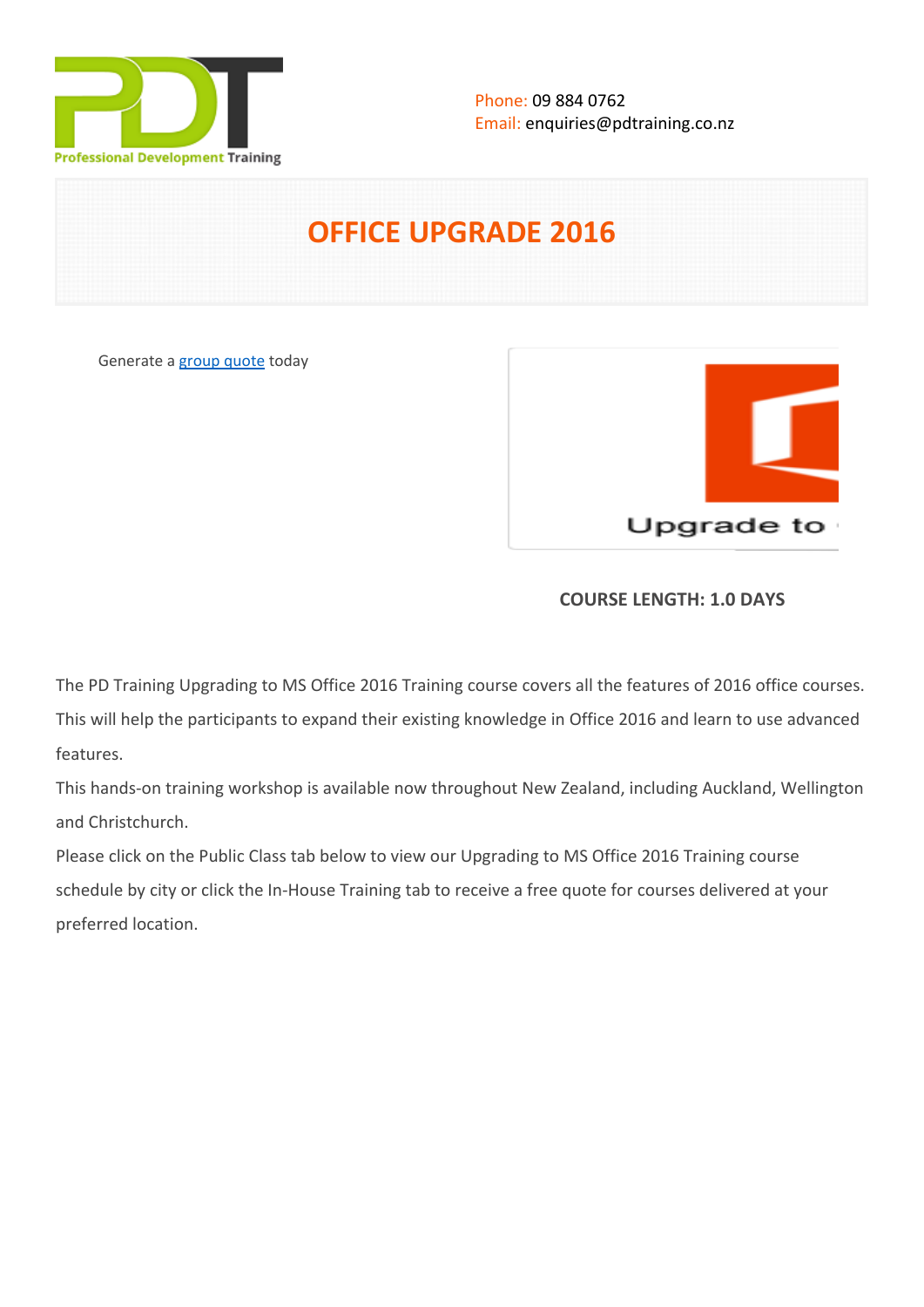

# **OFFICE UPGRADE 2016**

Generate a [group quote](https://pdtraining.co.nz/inhouse-training-quote?cse=MSOU16) today



## **COURSE LENGTH: 1.0 DAYS**

The PD Training Upgrading to MS Office 2016 Training course covers all the features of 2016 office courses. This will help the participants to expand their existing knowledge in Office 2016 and learn to use advanced features.

This hands-on training workshop is available now throughout New Zealand, including Auckland, Wellington and Christchurch.

Please click on the Public Class tab below to view our Upgrading to MS Office 2016 Training course schedule by city or click the In-House Training tab to receive a free quote for courses delivered at your preferred location.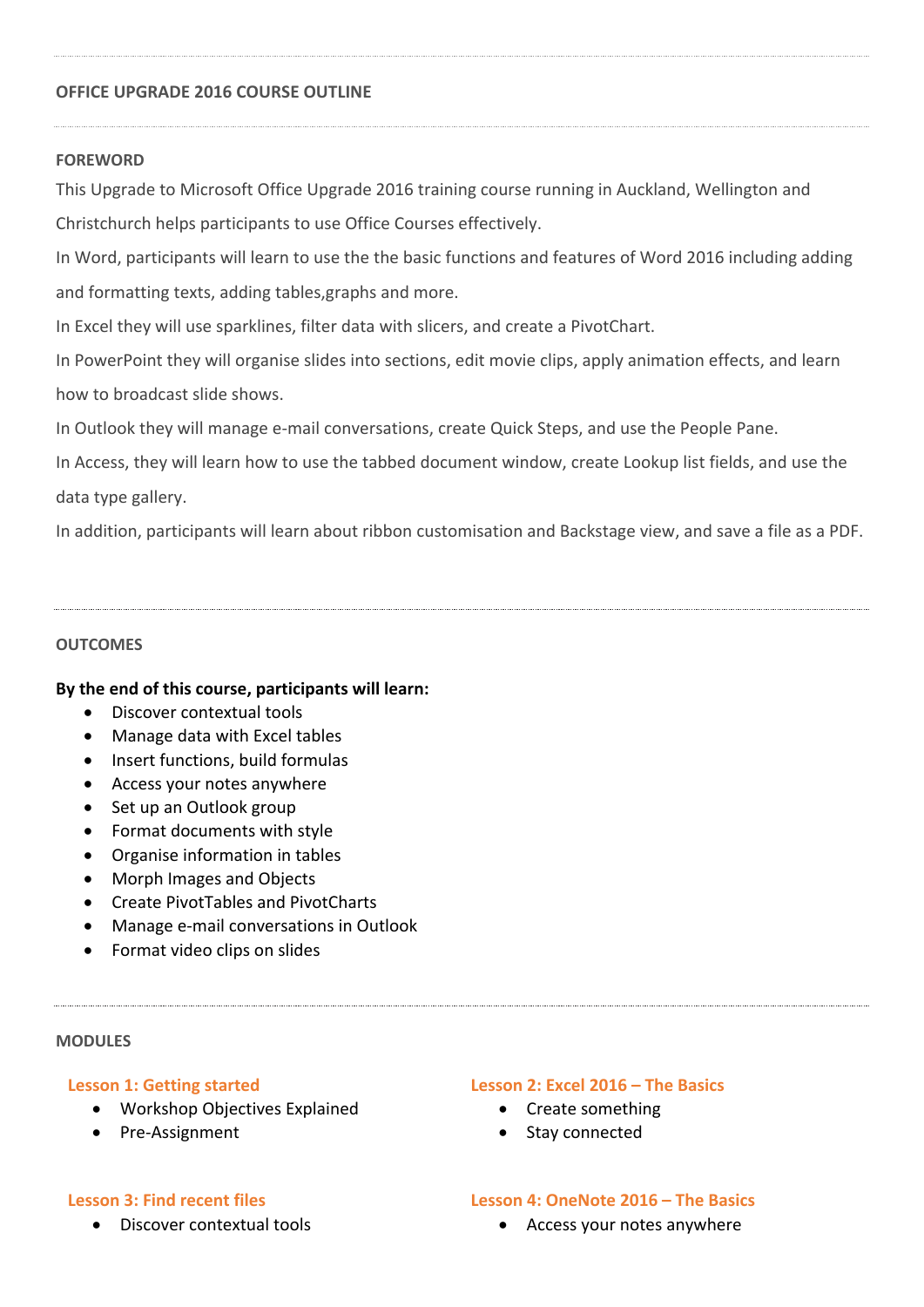#### **OFFICE UPGRADE 2016 COURSE OUTLINE**

#### **FOREWORD**

This Upgrade to Microsoft Office Upgrade 2016 training course running in Auckland, Wellington and

Christchurch helps participants to use Office Courses effectively.

In Word, participants will learn to use the the basic functions and features of Word 2016 including adding and formatting texts, adding tables,graphs and more.

In Excel they will use sparklines, filter data with slicers, and create a PivotChart.

In PowerPoint they will organise slides into sections, edit movie clips, apply animation effects, and learn how to broadcast slide shows.

In Outlook they will manage e-mail conversations, create Quick Steps, and use the People Pane.

In Access, they will learn how to use the tabbed document window, create Lookup list fields, and use the data type gallery.

In addition, participants will learn about ribbon customisation and Backstage view, and save a file as a PDF.

#### **OUTCOMES**

#### **By the end of this course, participants will learn:**

- Discover contextual tools
- Manage data with Excel tables
- Insert functions, build formulas
- Access your notes anywhere
- Set up an Outlook group
- Format documents with style
- Organise information in tables
- Morph Images and Objects
- Create PivotTables and PivotCharts
- Manage e-mail conversations in Outlook
- Format video clips on slides

#### **MODULES**

#### **Lesson 1: Getting started**

- Workshop Objectives Explained
- Pre-Assignment

#### **Lesson 2: Excel 2016 – The Basics**

- Create something
- Stay connected

#### **Lesson 3: Find recent files**

Discover contextual tools

#### **Lesson 4: OneNote 2016 – The Basics**

Access your notes anywhere